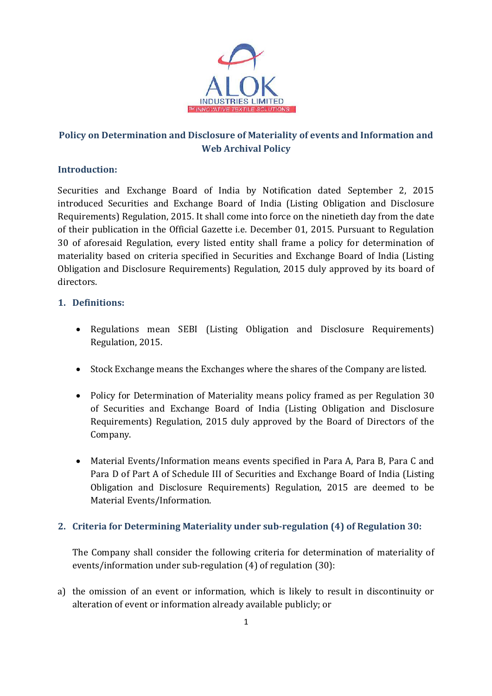

# Policy on Determination and Disclosure of Materiality of events and Information and Web Archival Policy

## Introduction:

Securities and Exchange Board of India by Notification dated September 2, 2015 introduced Securities and Exchange Board of India (Listing Obligation and Disclosure Requirements) Regulation, 2015. It shall come into force on the ninetieth day from the date of their publication in the Official Gazette i.e. December 01, 2015. Pursuant to Regulation 30 of aforesaid Regulation, every listed entity shall frame a policy for determination of materiality based on criteria specified in Securities and Exchange Board of India (Listing Obligation and Disclosure Requirements) Regulation, 2015 duly approved by its board of directors.

## 1. Definitions:

- Regulations mean SEBI (Listing Obligation and Disclosure Requirements) Regulation, 2015.
- Stock Exchange means the Exchanges where the shares of the Company are listed.
- Policy for Determination of Materiality means policy framed as per Regulation 30 of Securities and Exchange Board of India (Listing Obligation and Disclosure Requirements) Regulation, 2015 duly approved by the Board of Directors of the Company.
- Material Events/Information means events specified in Para A, Para B, Para C and Para D of Part A of Schedule III of Securities and Exchange Board of India (Listing Obligation and Disclosure Requirements) Regulation, 2015 are deemed to be Material Events/Information.

#### 2. Criteria for Determining Materiality under sub-regulation (4) of Regulation 30:

The Company shall consider the following criteria for determination of materiality of events/information under sub-regulation (4) of regulation (30):

a) the omission of an event or information, which is likely to result in discontinuity or alteration of event or information already available publicly; or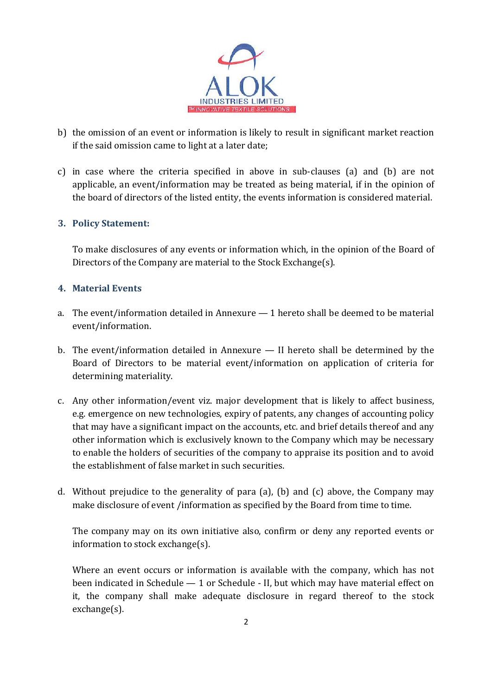

- b) the omission of an event or information is likely to result in significant market reaction if the said omission came to light at a later date;
- c) in case where the criteria specified in above in sub-clauses (a) and (b) are not applicable, an event/information may be treated as being material, if in the opinion of the board of directors of the listed entity, the events information is considered material.

#### 3. Policy Statement:

To make disclosures of any events or information which, in the opinion of the Board of Directors of the Company are material to the Stock Exchange(s).

#### 4. Material Events

- a. The event/information detailed in Annexure 1 hereto shall be deemed to be material event/information.
- b. The event/information detailed in Annexure II hereto shall be determined by the Board of Directors to be material event/information on application of criteria for determining materiality.
- c. Any other information/event viz. major development that is likely to affect business, e.g. emergence on new technologies, expiry of patents, any changes of accounting policy that may have a significant impact on the accounts, etc. and brief details thereof and any other information which is exclusively known to the Company which may be necessary to enable the holders of securities of the company to appraise its position and to avoid the establishment of false market in such securities.
- d. Without prejudice to the generality of para (a), (b) and (c) above, the Company may make disclosure of event /information as specified by the Board from time to time.

The company may on its own initiative also, confirm or deny any reported events or information to stock exchange(s).

Where an event occurs or information is available with the company, which has not been indicated in Schedule — 1 or Schedule - II, but which may have material effect on it, the company shall make adequate disclosure in regard thereof to the stock exchange(s).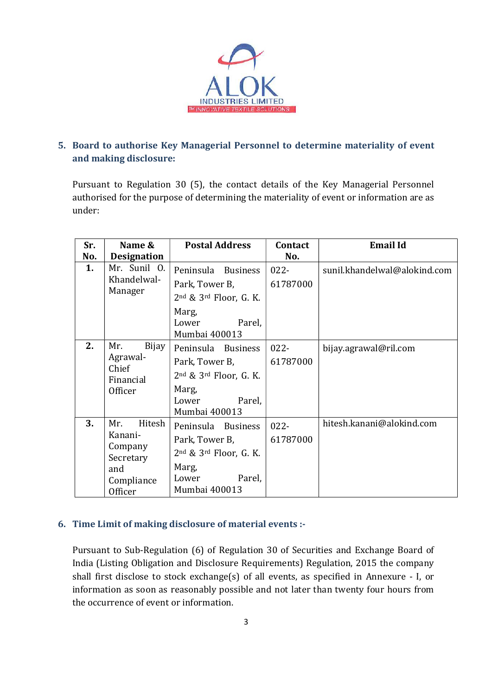

## 5. Board to authorise Key Managerial Personnel to determine materiality of event and making disclosure:

Pursuant to Regulation 30 (5), the contact details of the Key Managerial Personnel authorised for the purpose of determining the materiality of event or information are as under:

| Sr. | Name &                                           | <b>Postal Address</b>                     | Contact  | <b>Email Id</b>              |
|-----|--------------------------------------------------|-------------------------------------------|----------|------------------------------|
| No. | <b>Designation</b>                               |                                           | No.      |                              |
| 1.  | Mr. Sunil O.<br>Khandelwal-<br>Manager           | Peninsula Business                        | $022 -$  | sunil.khandelwal@alokind.com |
|     |                                                  | Park, Tower B,                            | 61787000 |                              |
|     |                                                  | $2nd$ & $3rd$ Floor, G. K.                |          |                              |
|     |                                                  | Marg,<br>Parel,<br>Lower<br>Mumbai 400013 |          |                              |
| 2.  | Mr.<br>Bijay                                     | Peninsula Business                        | $022 -$  | bijay.agrawal@ril.com        |
|     | Agrawal-<br>Chief<br>Financial<br>Officer        | Park, Tower B,                            | 61787000 |                              |
|     |                                                  | $2nd$ & $3rd$ Floor, G. K.                |          |                              |
|     |                                                  | Marg,                                     |          |                              |
|     |                                                  | Parel,<br>Lower                           |          |                              |
|     |                                                  | Mumbai 400013                             |          |                              |
| 3.  | Hitesh<br>Mr.<br>Kanani-<br>Company<br>Secretary | Peninsula Business                        | $022 -$  | hitesh.kanani@alokind.com    |
|     |                                                  | Park, Tower B,                            | 61787000 |                              |
|     |                                                  | 2nd & 3rd Floor, G. K.                    |          |                              |
|     | and                                              | Marg,                                     |          |                              |
|     | Compliance                                       | Parel,<br>Lower                           |          |                              |
|     | Officer                                          | Mumbai 400013                             |          |                              |

## 6. Time Limit of making disclosure of material events :-

Pursuant to Sub-Regulation (6) of Regulation 30 of Securities and Exchange Board of India (Listing Obligation and Disclosure Requirements) Regulation, 2015 the company shall first disclose to stock exchange(s) of all events, as specified in Annexure - I, or information as soon as reasonably possible and not later than twenty four hours from the occurrence of event or information.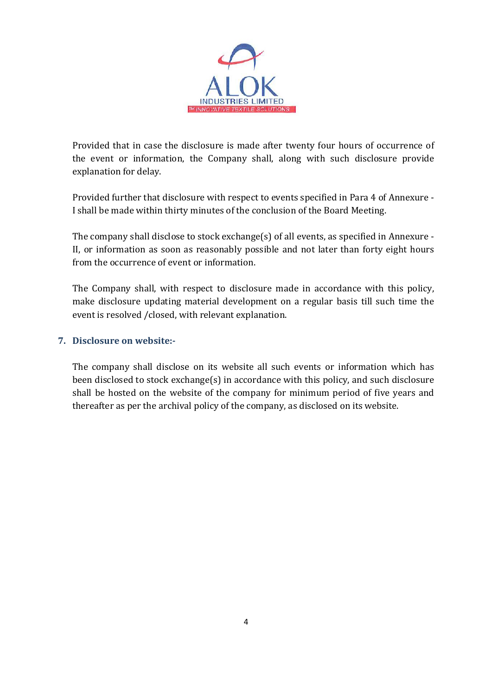

Provided that in case the disclosure is made after twenty four hours of occurrence of the event or information, the Company shall, along with such disclosure provide explanation for delay.

Provided further that disclosure with respect to events specified in Para 4 of Annexure - I shall be made within thirty minutes of the conclusion of the Board Meeting.

The company shall disclose to stock exchange(s) of all events, as specified in Annexure - II, or information as soon as reasonably possible and not later than forty eight hours from the occurrence of event or information.

The Company shall, with respect to disclosure made in accordance with this policy, make disclosure updating material development on a regular basis till such time the event is resolved /closed, with relevant explanation.

#### 7. Disclosure on website:-

The company shall disclose on its website all such events or information which has been disclosed to stock exchange(s) in accordance with this policy, and such disclosure shall be hosted on the website of the company for minimum period of five years and thereafter as per the archival policy of the company, as disclosed on its website.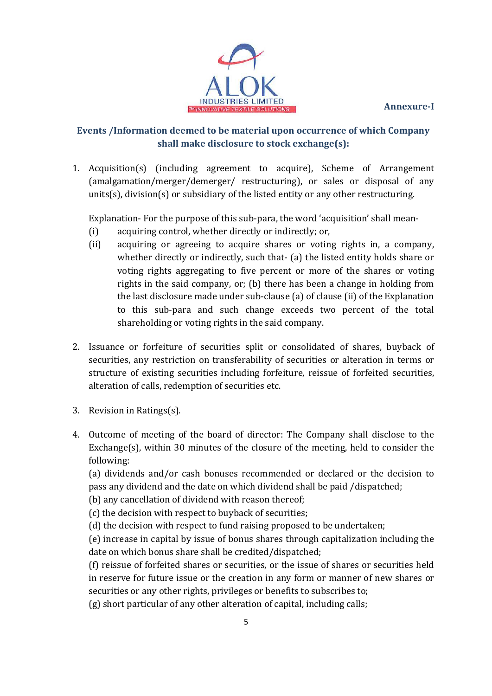Annexure-I



# Events /Information deemed to be material upon occurrence of which Company shall make disclosure to stock exchange(s):

1. Acquisition(s) (including agreement to acquire), Scheme of Arrangement (amalgamation/merger/demerger/ restructuring), or sales or disposal of any units(s), division(s) or subsidiary of the listed entity or any other restructuring.

Explanation- For the purpose of this sub-para, the word 'acquisition' shall mean-

- (i) acquiring control, whether directly or indirectly; or,
- (ii) acquiring or agreeing to acquire shares or voting rights in, a company, whether directly or indirectly, such that- (a) the listed entity holds share or voting rights aggregating to five percent or more of the shares or voting rights in the said company, or; (b) there has been a change in holding from the last disclosure made under sub-clause (a) of clause (ii) of the Explanation to this sub-para and such change exceeds two percent of the total shareholding or voting rights in the said company.
- 2. Issuance or forfeiture of securities split or consolidated of shares, buyback of securities, any restriction on transferability of securities or alteration in terms or structure of existing securities including forfeiture, reissue of forfeited securities, alteration of calls, redemption of securities etc.
- 3. Revision in Ratings(s).
- 4. Outcome of meeting of the board of director: The Company shall disclose to the Exchange(s), within 30 minutes of the closure of the meeting, held to consider the following:

(a) dividends and/or cash bonuses recommended or declared or the decision to pass any dividend and the date on which dividend shall be paid /dispatched;

(b) any cancellation of dividend with reason thereof;

(c) the decision with respect to buyback of securities;

(d) the decision with respect to fund raising proposed to be undertaken;

(e) increase in capital by issue of bonus shares through capitalization including the date on which bonus share shall be credited/dispatched;

(f) reissue of forfeited shares or securities, or the issue of shares or securities held in reserve for future issue or the creation in any form or manner of new shares or securities or any other rights, privileges or benefits to subscribes to;

(g) short particular of any other alteration of capital, including calls;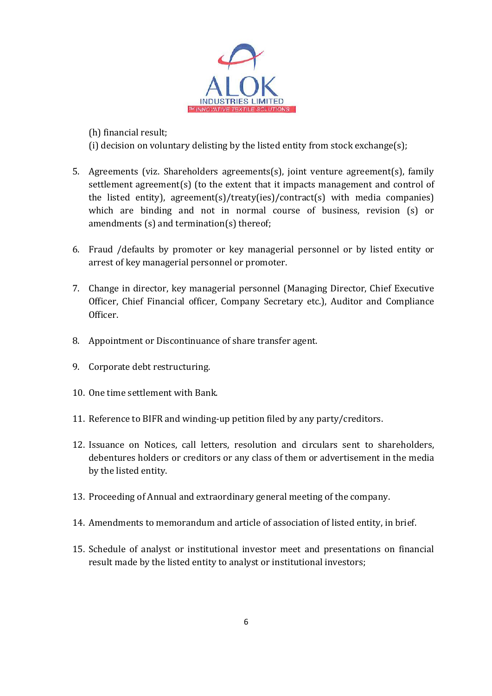

(h) financial result;

(i) decision on voluntary delisting by the listed entity from stock exchange(s);

- 5. Agreements (viz. Shareholders agreements(s), joint venture agreement(s), family settlement agreement(s) (to the extent that it impacts management and control of the listed entity), agreement(s)/treaty(ies)/contract(s) with media companies) which are binding and not in normal course of business, revision (s) or amendments (s) and termination(s) thereof;
- 6. Fraud /defaults by promoter or key managerial personnel or by listed entity or arrest of key managerial personnel or promoter.
- 7. Change in director, key managerial personnel (Managing Director, Chief Executive Officer, Chief Financial officer, Company Secretary etc.), Auditor and Compliance Officer.
- 8. Appointment or Discontinuance of share transfer agent.
- 9. Corporate debt restructuring.
- 10. One time settlement with Bank.
- 11. Reference to BIFR and winding-up petition filed by any party/creditors.
- 12. Issuance on Notices, call letters, resolution and circulars sent to shareholders, debentures holders or creditors or any class of them or advertisement in the media by the listed entity.
- 13. Proceeding of Annual and extraordinary general meeting of the company.
- 14. Amendments to memorandum and article of association of listed entity, in brief.
- 15. Schedule of analyst or institutional investor meet and presentations on financial result made by the listed entity to analyst or institutional investors;